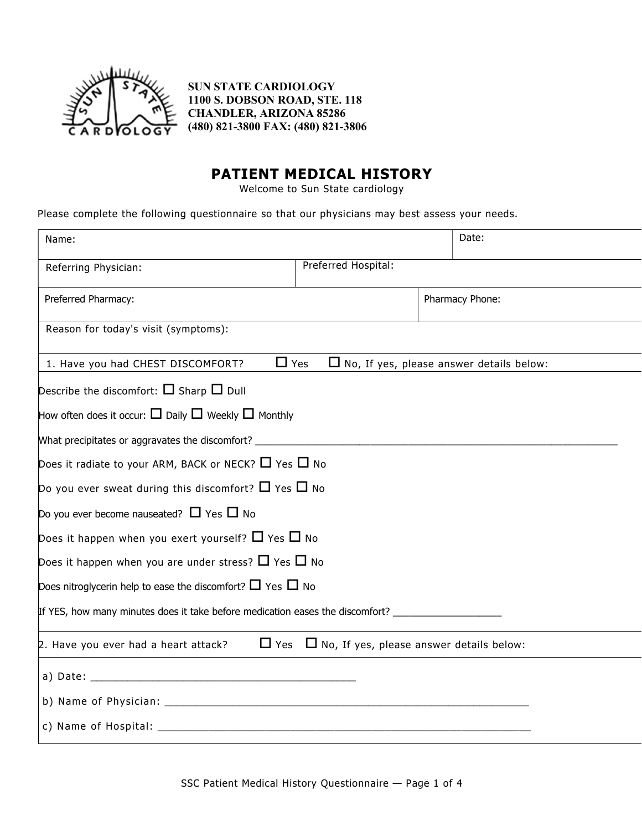

SUN STATE CARDIOLOGY 1100 S. DOBSON ROAD, STE. 118 CHANDLER, ARIZONA 85286 (480) 821-3800 FAX: (480) 821-3806

## PATIENT MEDICAL HISTORY

Welcome to Sun State cardiology

Please complete the following questionnaire so that our physicians may best assess your needs.

| Name:                                                                                                |                                                            | Date:           |  |  |  |  |  |  |
|------------------------------------------------------------------------------------------------------|------------------------------------------------------------|-----------------|--|--|--|--|--|--|
| Referring Physician:                                                                                 | Preferred Hospital:                                        |                 |  |  |  |  |  |  |
| Preferred Pharmacy:                                                                                  |                                                            | Pharmacy Phone: |  |  |  |  |  |  |
| Reason for today's visit (symptoms):                                                                 |                                                            |                 |  |  |  |  |  |  |
| $\Box$ Yes<br>1. Have you had CHEST DISCOMFORT?                                                      | $\Box$ No, If yes, please answer details below:            |                 |  |  |  |  |  |  |
| Describe the discomfort: $\Box$ Sharp $\Box$ Dull                                                    |                                                            |                 |  |  |  |  |  |  |
| How often does it occur: $\square$ Daily $\square$ Weekly $\square$ Monthly                          |                                                            |                 |  |  |  |  |  |  |
| What precipitates or aggravates the discomfort? _________________________________                    |                                                            |                 |  |  |  |  |  |  |
| Does it radiate to your ARM, BACK or NECK? $\Box$ Yes $\Box$ No                                      |                                                            |                 |  |  |  |  |  |  |
| Do you ever sweat during this discomfort? $\Box$ Yes $\Box$ No                                       |                                                            |                 |  |  |  |  |  |  |
| Do you ever become nauseated? $\Box$ Yes $\Box$ No                                                   |                                                            |                 |  |  |  |  |  |  |
| Does it happen when you exert yourself? $\Box$ Yes $\Box$ No                                         |                                                            |                 |  |  |  |  |  |  |
| Does it happen when you are under stress? $\Box$ Yes $\Box$ No                                       |                                                            |                 |  |  |  |  |  |  |
| Does nitroglycerin help to ease the discomfort? $\Box$ Yes $\Box$ No                                 |                                                            |                 |  |  |  |  |  |  |
| If YES, how many minutes does it take before medication eases the discomfort? ______________________ |                                                            |                 |  |  |  |  |  |  |
| 2. Have you ever had a heart attack?                                                                 | $\Box$ Yes $\Box$ No, If yes, please answer details below: |                 |  |  |  |  |  |  |
|                                                                                                      |                                                            |                 |  |  |  |  |  |  |
|                                                                                                      |                                                            |                 |  |  |  |  |  |  |
|                                                                                                      |                                                            |                 |  |  |  |  |  |  |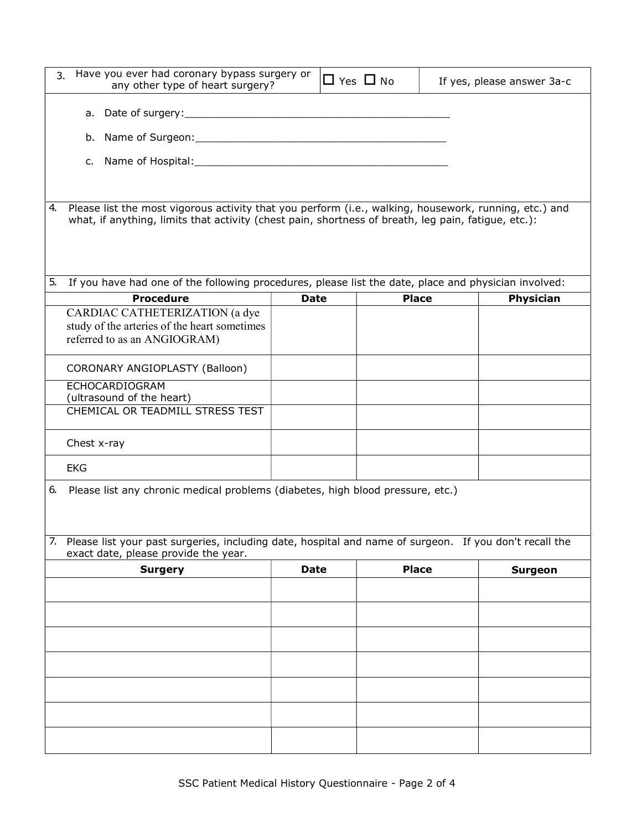| 3. | Have you ever had coronary bypass surgery or<br>any other type of heart surgery?                                                                                                                             |             |  | $\Box$ Yes $\Box$ No |  | If yes, please answer 3a-c |  |  |  |  |
|----|--------------------------------------------------------------------------------------------------------------------------------------------------------------------------------------------------------------|-------------|--|----------------------|--|----------------------------|--|--|--|--|
|    |                                                                                                                                                                                                              |             |  |                      |  |                            |  |  |  |  |
|    | b.                                                                                                                                                                                                           |             |  |                      |  |                            |  |  |  |  |
|    |                                                                                                                                                                                                              |             |  |                      |  |                            |  |  |  |  |
|    |                                                                                                                                                                                                              |             |  |                      |  |                            |  |  |  |  |
| 4. | Please list the most vigorous activity that you perform (i.e., walking, housework, running, etc.) and<br>what, if anything, limits that activity (chest pain, shortness of breath, leg pain, fatigue, etc.): |             |  |                      |  |                            |  |  |  |  |
| 5. | If you have had one of the following procedures, please list the date, place and physician involved:                                                                                                         |             |  |                      |  |                            |  |  |  |  |
|    | <b>Procedure</b>                                                                                                                                                                                             | <b>Date</b> |  | <b>Place</b>         |  | <b>Physician</b>           |  |  |  |  |
|    | CARDIAC CATHETERIZATION (a dye                                                                                                                                                                               |             |  |                      |  |                            |  |  |  |  |
|    | study of the arteries of the heart sometimes                                                                                                                                                                 |             |  |                      |  |                            |  |  |  |  |
|    | referred to as an ANGIOGRAM)                                                                                                                                                                                 |             |  |                      |  |                            |  |  |  |  |
|    | CORONARY ANGIOPLASTY (Balloon)                                                                                                                                                                               |             |  |                      |  |                            |  |  |  |  |
|    | ECHOCARDIOGRAM                                                                                                                                                                                               |             |  |                      |  |                            |  |  |  |  |
|    | (ultrasound of the heart)                                                                                                                                                                                    |             |  |                      |  |                            |  |  |  |  |
|    | CHEMICAL OR TEADMILL STRESS TEST                                                                                                                                                                             |             |  |                      |  |                            |  |  |  |  |
|    | Chest x-ray                                                                                                                                                                                                  |             |  |                      |  |                            |  |  |  |  |
|    | <b>EKG</b>                                                                                                                                                                                                   |             |  |                      |  |                            |  |  |  |  |
| 6. | Please list any chronic medical problems (diabetes, high blood pressure, etc.)<br>7. Please list your past surgeries, including date, hospital and name of surgeon. If you don't recall the                  |             |  |                      |  |                            |  |  |  |  |
|    | exact date, please provide the year.<br><b>Surgery</b>                                                                                                                                                       | <b>Date</b> |  | <b>Place</b>         |  | <b>Surgeon</b>             |  |  |  |  |
|    |                                                                                                                                                                                                              |             |  |                      |  |                            |  |  |  |  |
|    |                                                                                                                                                                                                              |             |  |                      |  |                            |  |  |  |  |
|    |                                                                                                                                                                                                              |             |  |                      |  |                            |  |  |  |  |
|    |                                                                                                                                                                                                              |             |  |                      |  |                            |  |  |  |  |
|    |                                                                                                                                                                                                              |             |  |                      |  |                            |  |  |  |  |
|    |                                                                                                                                                                                                              |             |  |                      |  |                            |  |  |  |  |
|    |                                                                                                                                                                                                              |             |  |                      |  |                            |  |  |  |  |
|    |                                                                                                                                                                                                              |             |  |                      |  |                            |  |  |  |  |
|    |                                                                                                                                                                                                              |             |  |                      |  |                            |  |  |  |  |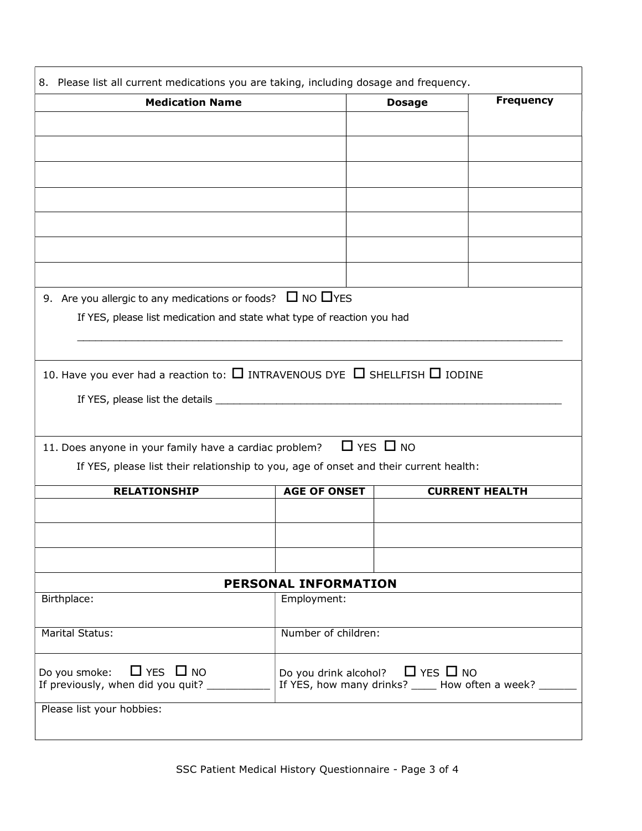| <b>Medication Name</b>                                                                                                                               |                                                                                                     | <b>Frequency</b><br><b>Dosage</b> |                       |  |
|------------------------------------------------------------------------------------------------------------------------------------------------------|-----------------------------------------------------------------------------------------------------|-----------------------------------|-----------------------|--|
|                                                                                                                                                      |                                                                                                     |                                   |                       |  |
|                                                                                                                                                      |                                                                                                     |                                   |                       |  |
|                                                                                                                                                      |                                                                                                     |                                   |                       |  |
|                                                                                                                                                      |                                                                                                     |                                   |                       |  |
|                                                                                                                                                      |                                                                                                     |                                   |                       |  |
|                                                                                                                                                      |                                                                                                     |                                   |                       |  |
|                                                                                                                                                      |                                                                                                     |                                   |                       |  |
|                                                                                                                                                      |                                                                                                     |                                   |                       |  |
|                                                                                                                                                      |                                                                                                     |                                   |                       |  |
| 9. Are you allergic to any medications or foods? $\Box$ NO $\Box$ YES                                                                                |                                                                                                     |                                   |                       |  |
| If YES, please list medication and state what type of reaction you had                                                                               |                                                                                                     |                                   |                       |  |
|                                                                                                                                                      |                                                                                                     |                                   |                       |  |
|                                                                                                                                                      |                                                                                                     |                                   |                       |  |
|                                                                                                                                                      |                                                                                                     |                                   |                       |  |
|                                                                                                                                                      |                                                                                                     |                                   |                       |  |
| If YES, please list the details ___________                                                                                                          |                                                                                                     |                                   |                       |  |
|                                                                                                                                                      |                                                                                                     |                                   |                       |  |
|                                                                                                                                                      |                                                                                                     |                                   |                       |  |
|                                                                                                                                                      | $\Box$ YES $\Box$ NO                                                                                |                                   |                       |  |
| If YES, please list their relationship to you, age of onset and their current health:                                                                |                                                                                                     |                                   |                       |  |
| <b>RELATIONSHIP</b>                                                                                                                                  | <b>AGE OF ONSET</b>                                                                                 |                                   | <b>CURRENT HEALTH</b> |  |
|                                                                                                                                                      |                                                                                                     |                                   |                       |  |
|                                                                                                                                                      |                                                                                                     |                                   |                       |  |
|                                                                                                                                                      |                                                                                                     |                                   |                       |  |
| 10. Have you ever had a reaction to: $\Box$ INTRAVENOUS DYE $\Box$ SHELLFISH $\Box$ IODINE<br>11. Does anyone in your family have a cardiac problem? | PERSONAL INFORMATION                                                                                |                                   |                       |  |
| Birthplace:                                                                                                                                          | Employment:                                                                                         |                                   |                       |  |
|                                                                                                                                                      |                                                                                                     |                                   |                       |  |
| <b>Marital Status:</b>                                                                                                                               | Number of children:                                                                                 |                                   |                       |  |
|                                                                                                                                                      |                                                                                                     |                                   |                       |  |
| $\Box$ YES $\Box$ NO<br>Do you smoke:<br>If previously, when did you quit? ________                                                                  | Do you drink alcohol? $\Box$ YES $\Box$ NO<br>If YES, how many drinks? _____ How often a week? ____ |                                   |                       |  |